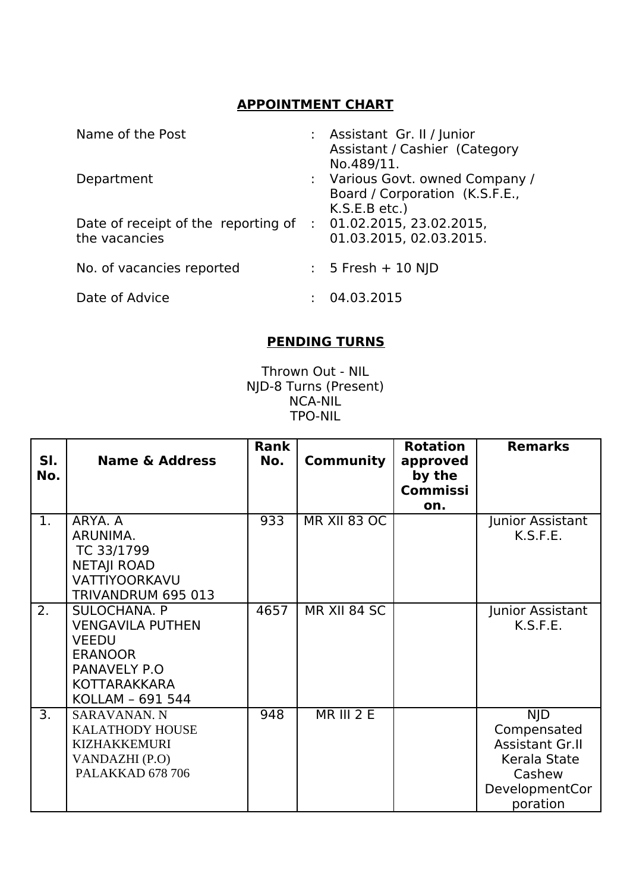## **APPOINTMENT CHART**

| Name of the Post                                                               | : Assistant Gr. II / Junior<br>Assistant / Cashier (Category<br>No.489/11.         |
|--------------------------------------------------------------------------------|------------------------------------------------------------------------------------|
| Department                                                                     | : Various Govt. owned Company /<br>Board / Corporation (K.S.F.E.,<br>K.S.E.B etc.) |
| Date of receipt of the reporting of : 01.02.2015, 23.02.2015,<br>the vacancies | 01.03.2015, 02.03.2015.                                                            |
| No. of vacancies reported                                                      | $: 5$ Fresh + 10 NJD                                                               |
| Date of Advice                                                                 | 04.03.2015                                                                         |

## **PENDING TURNS**

Thrown Out - NIL NJD-8 Turns (Present) NCA-NIL TPO-NIL

| SI.<br>No. | <b>Name &amp; Address</b>                                                                                                     | Rank<br>No. | <b>Community</b>    | <b>Rotation</b><br>approved<br>by the<br><b>Commissi</b><br>on. | <b>Remarks</b>                                                                                              |
|------------|-------------------------------------------------------------------------------------------------------------------------------|-------------|---------------------|-----------------------------------------------------------------|-------------------------------------------------------------------------------------------------------------|
| 1.         | ARYA, A<br>ARUNIMA.<br>TC 33/1799<br><b>NETAJI ROAD</b><br>VATTIYOORKAVU<br>TRIVANDRUM 695 013                                | 933         | <b>MR XII 83 OC</b> |                                                                 | Junior Assistant<br>K.S.F.E.                                                                                |
| 2.         | SULOCHANA. P<br><b>VENGAVILA PUTHEN</b><br><b>VEEDU</b><br><b>ERANOOR</b><br>PANAVELY P.O<br>KOTTARAKKARA<br>KOLLAM - 691 544 | 4657        | MR XII 84 SC        |                                                                 | Junior Assistant<br>K.S.F.E.                                                                                |
| 3.         | <b>SARAVANAN. N</b><br><b>KALATHODY HOUSE</b><br><b>KIZHAKKEMURI</b><br>VANDAZHI (P.O)<br>PALAKKAD 678 706                    | 948         | <b>MR III 2 E</b>   |                                                                 | <b>NJD</b><br>Compensated<br><b>Assistant Gr.II</b><br>Kerala State<br>Cashew<br>DevelopmentCor<br>poration |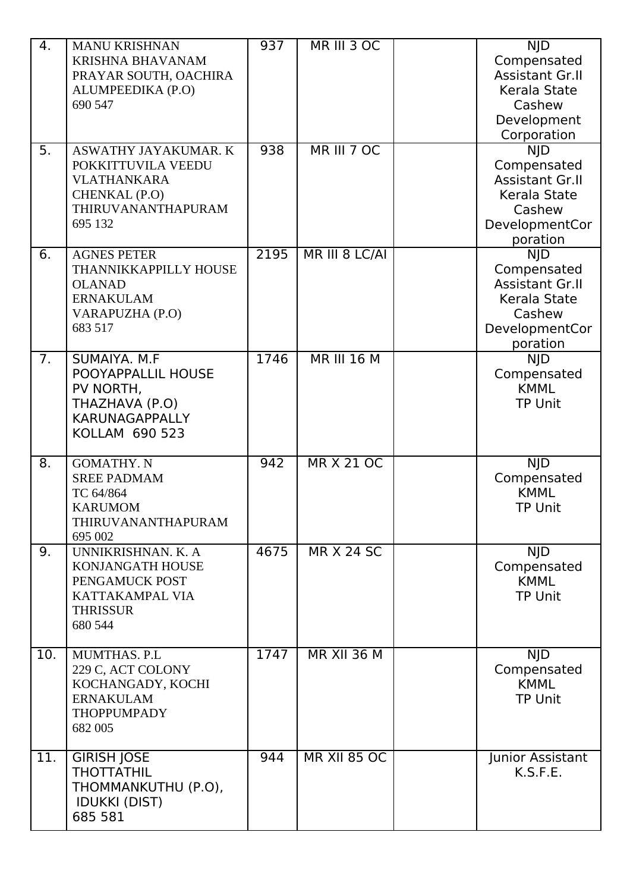| 4.<br>5. | <b>MANU KRISHNAN</b><br><b>KRISHNA BHAVANAM</b><br>PRAYAR SOUTH, OACHIRA<br>ALUMPEEDIKA (P.O)<br>690 547<br>ASWATHY JAYAKUMAR. K<br>POKKITTUVILA VEEDU<br><b>VLATHANKARA</b><br>CHENKAL (P.O)<br>THIRUVANANTHAPURAM<br>695 132 | 937<br>938 | MR III 3 OC<br>MR III 7 OC | <b>NJD</b><br>Compensated<br><b>Assistant Gr.II</b><br>Kerala State<br>Cashew<br>Development<br>Corporation<br><b>NJD</b><br>Compensated<br><b>Assistant Gr.II</b><br>Kerala State<br>Cashew<br>DevelopmentCor<br>poration |
|----------|--------------------------------------------------------------------------------------------------------------------------------------------------------------------------------------------------------------------------------|------------|----------------------------|----------------------------------------------------------------------------------------------------------------------------------------------------------------------------------------------------------------------------|
| 6.       | <b>AGNES PETER</b><br>THANNIKKAPPILLY HOUSE<br><b>OLANAD</b><br><b>ERNAKULAM</b><br>VARAPUZHA (P.O)<br>683 517                                                                                                                 | 2195       | MR III 8 LC/AI             | <b>NJD</b><br>Compensated<br><b>Assistant Gr.II</b><br>Kerala State<br>Cashew<br>DevelopmentCor<br>poration                                                                                                                |
| 7.       | SUMAIYA. M.F<br>POOYAPPALLIL HOUSE<br>PV NORTH,<br>THAZHAVA (P.O)<br><b>KARUNAGAPPALLY</b><br>KOLLAM 690 523                                                                                                                   | 1746       | <b>MR III 16 M</b>         | <b>NJD</b><br>Compensated<br><b>KMML</b><br><b>TP Unit</b>                                                                                                                                                                 |
| 8.       | <b>GOMATHY. N</b><br><b>SREE PADMAM</b><br>TC 64/864<br><b>KARUMOM</b><br>THIRUVANANTHAPURAM<br>695 002                                                                                                                        | 942        | <b>MR X 21 OC</b>          | <b>NJD</b><br>Compensated<br><b>KMML</b><br><b>TP Unit</b>                                                                                                                                                                 |
| 9.       | UNNIKRISHNAN. K. A<br>KONJANGATH HOUSE<br>PENGAMUCK POST<br>KATTAKAMPAL VIA<br><b>THRISSUR</b><br>680 544                                                                                                                      | 4675       | <b>MR X 24 SC</b>          | <b>NJD</b><br>Compensated<br><b>KMML</b><br><b>TP Unit</b>                                                                                                                                                                 |
| 10.      | MUMTHAS. P.L<br>229 C, ACT COLONY<br>KOCHANGADY, KOCHI<br><b>ERNAKULAM</b><br><b>THOPPUMPADY</b><br>682 005                                                                                                                    | 1747       | <b>MR XII 36 M</b>         | <b>NJD</b><br>Compensated<br><b>KMML</b><br><b>TP Unit</b>                                                                                                                                                                 |
| 11.      | <b>GIRISH JOSE</b><br><b>THOTTATHIL</b><br>THOMMANKUTHU (P.O),<br><b>IDUKKI (DIST)</b><br>685 581                                                                                                                              | 944        | <b>MR XII 85 OC</b>        | Junior Assistant<br>K.S.F.E.                                                                                                                                                                                               |